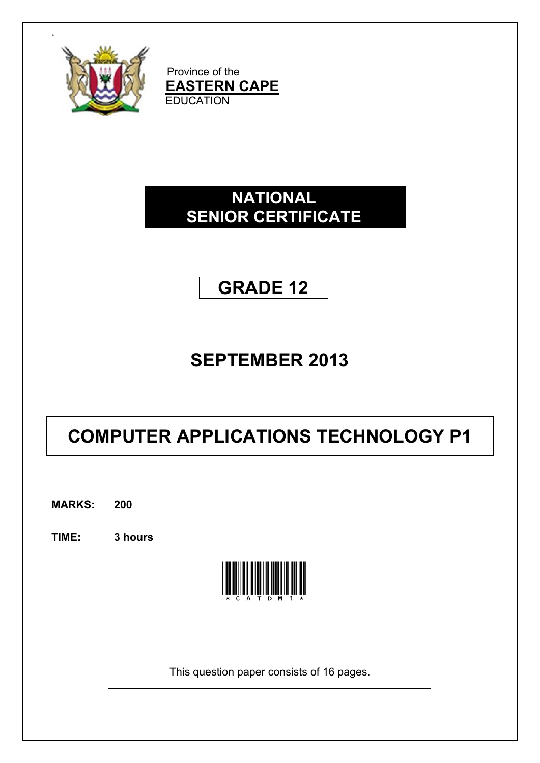

Province of the **EASTERN CAPE EDUCATION** 

# **NATIONAL SENIOR CERTIFICATE**

# **GRADE 12**

# **SEPTEMBER 2013**

# **COMPUTER APPLICATIONS TECHNOLOGY P1**

**MARKS: 200**

**TIME: 3 hours** 



This question paper consists of 16 pages.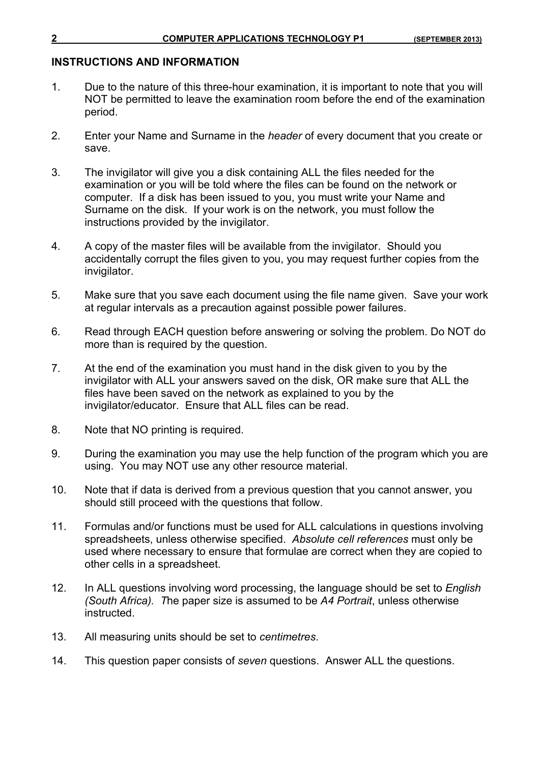#### **INSTRUCTIONS AND INFORMATION**

- 1. Due to the nature of this three-hour examination, it is important to note that you will NOT be permitted to leave the examination room before the end of the examination period.
- 2. Enter your Name and Surname in the *header* of every document that you create or save.
- 3. The invigilator will give you a disk containing ALL the files needed for the examination or you will be told where the files can be found on the network or computer. If a disk has been issued to you, you must write your Name and Surname on the disk. If your work is on the network, you must follow the instructions provided by the invigilator.
- 4. A copy of the master files will be available from the invigilator. Should you accidentally corrupt the files given to you, you may request further copies from the invigilator.
- 5. Make sure that you save each document using the file name given. Save your work at regular intervals as a precaution against possible power failures.
- 6. Read through EACH question before answering or solving the problem. Do NOT do more than is required by the question.
- 7. At the end of the examination you must hand in the disk given to you by the invigilator with ALL your answers saved on the disk, OR make sure that ALL the files have been saved on the network as explained to you by the invigilator/educator. Ensure that ALL files can be read.
- 8. Note that NO printing is required.
- 9. During the examination you may use the help function of the program which you are using. You may NOT use any other resource material.
- 10. Note that if data is derived from a previous question that you cannot answer, you should still proceed with the questions that follow.
- 11. Formulas and/or functions must be used for ALL calculations in questions involving spreadsheets, unless otherwise specified. *Absolute cell references* must only be used where necessary to ensure that formulae are correct when they are copied to other cells in a spreadsheet.
- 12. In ALL questions involving word processing, the language should be set to *English (South Africa). T*he paper size is assumed to be *A4 Portrait*, unless otherwise instructed.
- 13. All measuring units should be set to *centimetres*.
- 14. This question paper consists of *seven* questions. Answer ALL the questions.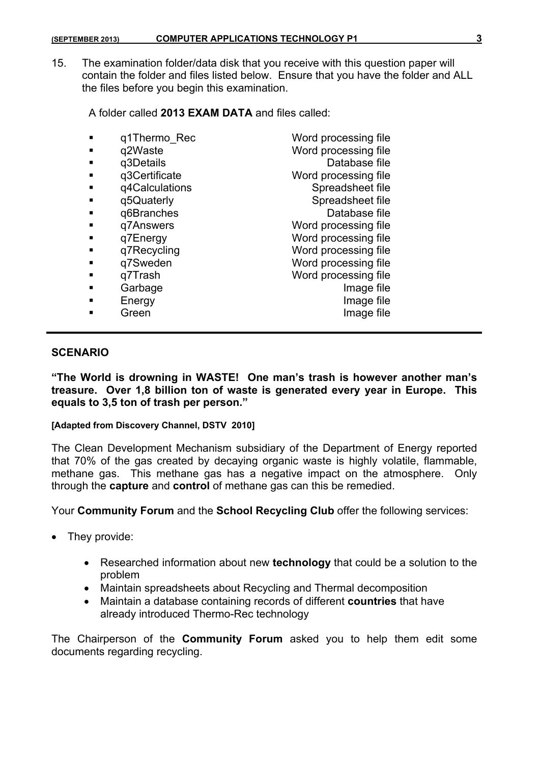15. The examination folder/data disk that you receive with this question paper will contain the folder and files listed below. Ensure that you have the folder and ALL the files before you begin this examination.

A folder called **2013 EXAM DATA** and files called:

|   | q1Thermo Rec   | Word processing file |
|---|----------------|----------------------|
| ٠ | q2Waste        | Word processing file |
|   | q3Details      | Database file        |
| ٠ | q3Certificate  | Word processing file |
| ■ | q4Calculations | Spreadsheet file     |
| ٠ | q5Quaterly     | Spreadsheet file     |
| ■ | q6Branches     | Database file        |
| ٠ | q7Answers      | Word processing file |
|   | q7Energy       | Word processing file |
|   | q7Recycling    | Word processing file |
| ٠ | q7Sweden       | Word processing file |
| ▬ | q7Trash        | Word processing file |
|   | Garbage        | Image file           |
|   | Energy         | Image file           |
|   | Green          | Image file           |
|   |                |                      |

#### **SCENARIO**

**"The World is drowning in WASTE! One man's trash is however another man's treasure. Over 1,8 billion ton of waste is generated every year in Europe. This equals to 3,5 ton of trash per person."** 

#### **[Adapted from Discovery Channel, DSTV 2010]**

The Clean Development Mechanism subsidiary of the Department of Energy reported that 70% of the gas created by decaying organic waste is highly volatile, flammable, methane gas. This methane gas has a negative impact on the atmosphere. Only through the **capture** and **control** of methane gas can this be remedied.

Your **Community Forum** and the **School Recycling Club** offer the following services:

- They provide:
	- Researched information about new **technology** that could be a solution to the problem
	- Maintain spreadsheets about Recycling and Thermal decomposition
	- Maintain a database containing records of different **countries** that have already introduced Thermo-Rec technology

The Chairperson of the **Community Forum** asked you to help them edit some documents regarding recycling.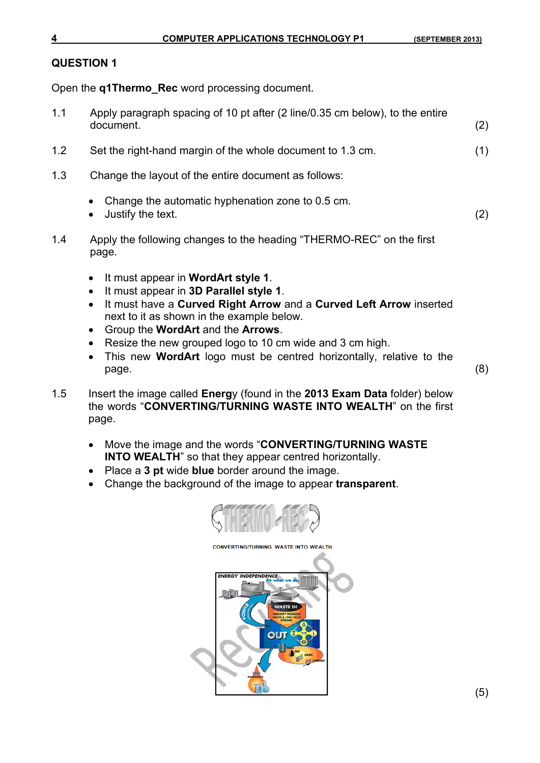Open the **q1Thermo\_Rec** word processing document.

- 1.1 Apply paragraph spacing of 10 pt after (2 line/0.35 cm below), to the entire document. (2)
- 1.2 Set the right-hand margin of the whole document to 1.3 cm. (1)
- 1.3 Change the layout of the entire document as follows:
	- Change the automatic hyphenation zone to 0.5 cm.
	- Justify the text. (2)
- 1.4 Apply the following changes to the heading "THERMO-REC" on the first page.
	- It must appear in **WordArt style 1**.
	- It must appear in **3D Parallel style 1**.
	- It must have a **Curved Right Arrow** and a **Curved Left Arrow** inserted next to it as shown in the example below.
	- Group the **WordArt** and the **Arrows**.
	- Resize the new grouped logo to 10 cm wide and 3 cm high.
	- This new **WordArt** logo must be centred horizontally, relative to the page. (8)
- 1.5 Insert the image called **Energ**y (found in the **2013 Exam Data** folder) below the words "**CONVERTING/TURNING WASTE INTO WEALTH**" on the first page.
	- Move the image and the words "**CONVERTING/TURNING WASTE INTO WEALTH**" so that they appear centred horizontally.
	- Place a **3 pt** wide **blue** border around the image.
	- Change the background of the image to appear **transparent**.

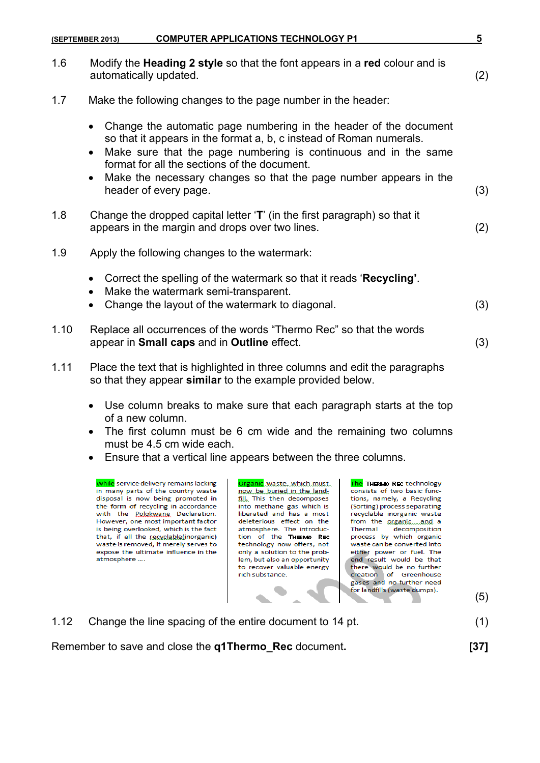|      | <b>COMPUTER APPLICATIONS TECHNOLOGY P1</b><br>(SEPTEMBER 2013)                                                                                                                                                                                                                                                                                             | 5   |
|------|------------------------------------------------------------------------------------------------------------------------------------------------------------------------------------------------------------------------------------------------------------------------------------------------------------------------------------------------------------|-----|
| 1.6  | Modify the Heading 2 style so that the font appears in a red colour and is<br>automatically updated.                                                                                                                                                                                                                                                       | (2) |
| 1.7  | Make the following changes to the page number in the header:                                                                                                                                                                                                                                                                                               |     |
|      | Change the automatic page numbering in the header of the document<br>so that it appears in the format a, b, c instead of Roman numerals.<br>Make sure that the page numbering is continuous and in the same<br>$\bullet$<br>format for all the sections of the document.<br>Make the necessary changes so that the page number appears in the<br>$\bullet$ |     |
|      | header of every page.                                                                                                                                                                                                                                                                                                                                      | (3) |
| 1.8  | Change the dropped capital letter 'T' (in the first paragraph) so that it<br>appears in the margin and drops over two lines.                                                                                                                                                                                                                               | (2) |
| 1.9  | Apply the following changes to the watermark:                                                                                                                                                                                                                                                                                                              |     |
|      | Correct the spelling of the watermark so that it reads 'Recycling'.<br>Make the watermark semi-transparent.<br>Change the layout of the watermark to diagonal.                                                                                                                                                                                             | (3) |
| 1.10 | Replace all occurrences of the words "Thermo Rec" so that the words<br>appear in Small caps and in Outline effect.                                                                                                                                                                                                                                         | (3) |
| 1.11 | Place the text that is highlighted in three columns and edit the paragraphs<br>so that they appear similar to the example provided below.                                                                                                                                                                                                                  |     |

- Use column breaks to make sure that each paragraph starts at the top of a new column.
- The first column must be 6 cm wide and the remaining two columns must be 4.5 cm wide each.
- Ensure that a vertical line appears between the three columns.

While service delivery remains lacking in many parts of the country waste disposal is now being promoted in the form of recycling in accordance with the Polokwane Declaration. However, one most important factor is being overlooked, which is the fact that, if all the recyclable(inorganic) waste is removed, it merely serves to expose the ultimate influence in the atmosphere ....

Organic waste, which must now be buried in the landfill, This then decomposes into methane gas which is liberated and has a most deleterious effect on the atmosphere. The introduction of the THERMO REC technology now offers, not only a solution to the problem, but also an opportunity to recover valuable energy rich substance.

The THERMO REC technology consists of two basic functions, namely, a Recycling (Sorting) process separating recyclable inorganic waste from the organic....and a Thermal decomposition process by which organic waste can be converted into either power or fuel. The end result would be that there would be no further creation of Greenhouse

| gases and no further need<br>gases and no further need<br>for landfills (waste dumps). | (5) |
|----------------------------------------------------------------------------------------|-----|
| 1.12 Change the line spacing of the entire document to 14 pt.                          | (1) |
| Remember to save and close the q1Thermo_Rec document.                                  |     |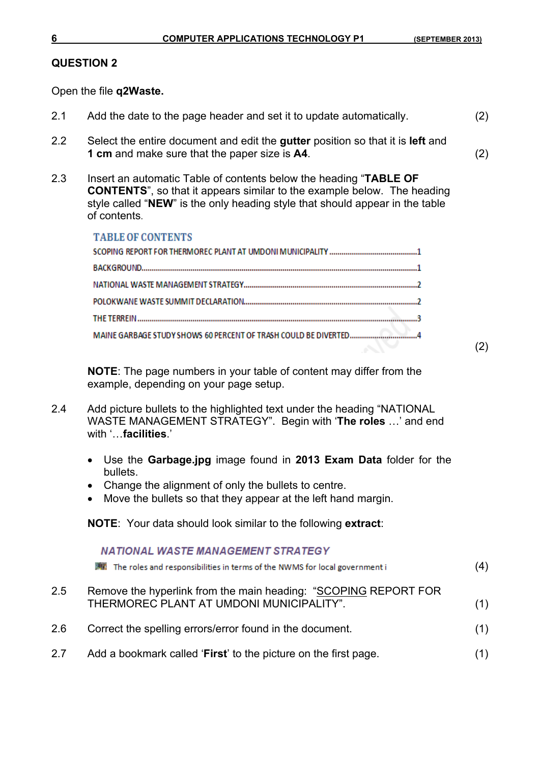(2)

#### **QUESTION 2**

Open the file **q2Waste.**

- 2.1 Add the date to the page header and set it to update automatically. (2)
- 2.2 Select the entire document and edit the **gutter** position so that it is **left** and **1 cm** and make sure that the paper size is **A4**. (2)
- 2.3 Insert an automatic Table of contents below the heading "**TABLE OF CONTENTS**", so that it appears similar to the example below. The heading style called "**NEW**" is the only heading style that should appear in the table of contents.

| <b>TABLE OF CONTENTS</b> |  |
|--------------------------|--|
|                          |  |
|                          |  |
|                          |  |
|                          |  |
|                          |  |
|                          |  |
|                          |  |

**NOTE**: The page numbers in your table of content may differ from the example, depending on your page setup.

- 2.4 Add picture bullets to the highlighted text under the heading "NATIONAL WASTE MANAGEMENT STRATEGY". Begin with '**The roles** …' and end with '…**facilities**.'
	- Use the **Garbage.jpg** image found in **2013 Exam Data** folder for the bullets.
	- Change the alignment of only the bullets to centre.
	- Move the bullets so that they appear at the left hand margin.

**NOTE**: Your data should look similar to the following **extract**:

|         | <b>NATIONAL WASTE MANAGEMENT STRATEGY</b><br>The roles and responsibilities in terms of the NWMS for local government i | (4) |
|---------|-------------------------------------------------------------------------------------------------------------------------|-----|
| $2.5\,$ | Remove the hyperlink from the main heading: "SCOPING REPORT FOR<br>THERMOREC PLANT AT UMDONI MUNICIPALITY".             | (1) |
| 2.6     | Correct the spelling errors/error found in the document.                                                                | (1) |
| 2.7     | Add a bookmark called 'First' to the picture on the first page.                                                         | (1) |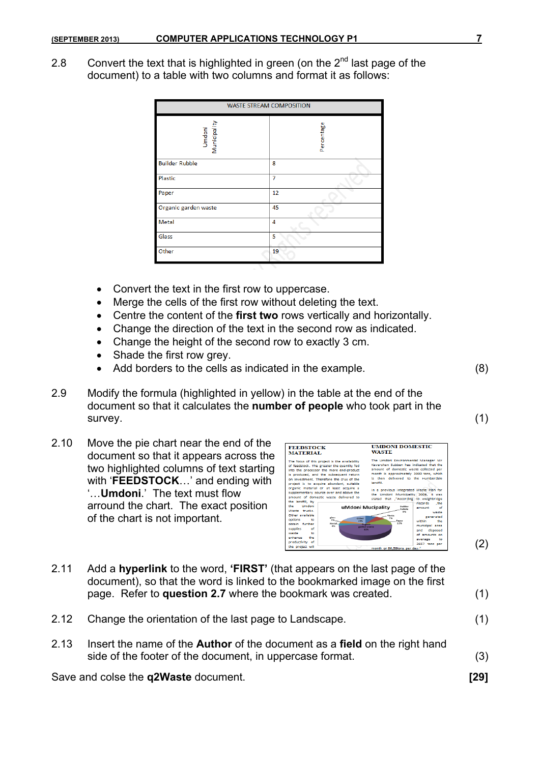2.8 Convert the text that is highlighted in green (on the  $2^{nd}$  last page of the document) to a table with two columns and format it as follows:

| <b>WASTE STREAM COMPOSITION</b> |            |  |  |
|---------------------------------|------------|--|--|
| Municipality<br>Umdoni          | Percentage |  |  |
| <b>Builder Rubble</b>           | 8          |  |  |
| Plastic                         | 7          |  |  |
| Paper                           | 12         |  |  |
| Organic garden waste            | 45         |  |  |
| Metal                           | 4          |  |  |
| Glass                           | 5          |  |  |
| Other                           | 19         |  |  |

- Convert the text in the first row to uppercase.
- Merge the cells of the first row without deleting the text.
- Centre the content of the **first two** rows vertically and horizontally.
- Change the direction of the text in the second row as indicated.
- Change the height of the second row to exactly 3 cm.
- Shade the first row grey.
- Add borders to the cells as indicated in the example. (8)
- 2.9 Modify the formula (highlighted in yellow) in the table at the end of the document so that it calculates the **number of people** who took part in the survey. (1)
- 2.10 Move the pie chart near the end of the document so that it appears across the two highlighted columns of text starting with '**FEEDSTOCK**…' and ending with '…**Umdoni**.' The text must flow arround the chart. The exact position of the chart is not important.



- 2.11 Add a **hyperlink** to the word, **'FIRST'** (that appears on the last page of the document), so that the word is linked to the bookmarked image on the first page. Refer to **question 2.7** where the bookmark was created. (1)
- 2.12 Change the orientation of the last page to Landscape. (1)
- 2.13 Insert the name of the **Author** of the document as a **field** on the right hand side of the footer of the document, in uppercase format. (3)

Save and colse the **q2Waste** document. **[29]**

(2)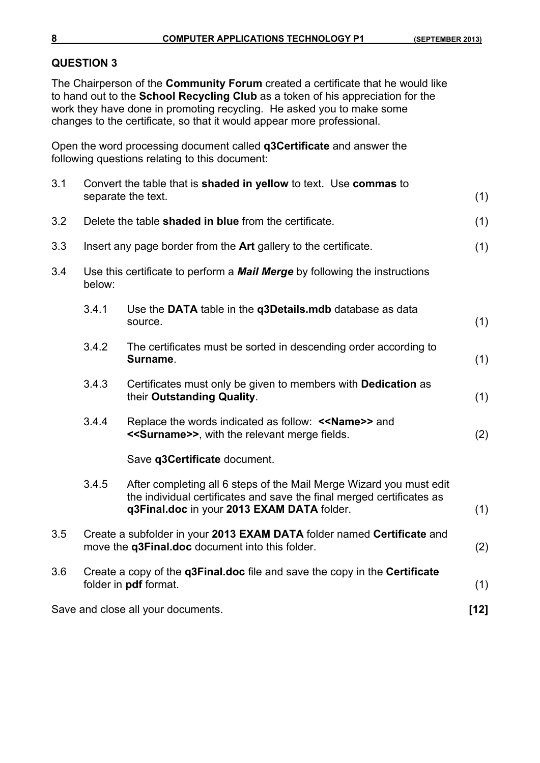The Chairperson of the **Community Forum** created a certificate that he would like to hand out to the **School Recycling Club** as a token of his appreciation for the work they have done in promoting recycling. He asked you to make some changes to the certificate, so that it would appear more professional.

Open the word processing document called **q3Certificate** and answer the following questions relating to this document:

| 3.1 |        | Convert the table that is shaded in yellow to text. Use commas to                                                                                                                          |        |
|-----|--------|--------------------------------------------------------------------------------------------------------------------------------------------------------------------------------------------|--------|
|     |        | separate the text.                                                                                                                                                                         | (1)    |
| 3.2 |        | Delete the table shaded in blue from the certificate.                                                                                                                                      | (1)    |
| 3.3 |        | Insert any page border from the Art gallery to the certificate.                                                                                                                            | (1)    |
| 3.4 | below: | Use this certificate to perform a <b>Mail Merge</b> by following the instructions                                                                                                          |        |
|     | 3.4.1  | Use the DATA table in the q3Details.mdb database as data<br>source.                                                                                                                        | (1)    |
|     | 3.4.2  | The certificates must be sorted in descending order according to<br>Surname.                                                                                                               | (1)    |
|     | 3.4.3  | Certificates must only be given to members with <b>Dedication</b> as<br>their Outstanding Quality.                                                                                         | (1)    |
|     | 3.4.4  | Replace the words indicated as follow: < <name>&gt; and<br/>&lt;<surname>&gt;, with the relevant merge fields.</surname></name>                                                            | (2)    |
|     |        | Save q3Certificate document.                                                                                                                                                               |        |
|     | 3.4.5  | After completing all 6 steps of the Mail Merge Wizard you must edit<br>the individual certificates and save the final merged certificates as<br>q3Final.doc in your 2013 EXAM DATA folder. | (1)    |
| 3.5 |        | Create a subfolder in your 2013 EXAM DATA folder named Certificate and<br>move the q3Final.doc document into this folder.                                                                  | (2)    |
| 3.6 |        | Create a copy of the q3Final.doc file and save the copy in the Certificate<br>folder in pdf format.                                                                                        | (1)    |
|     |        | Save and close all your documents.                                                                                                                                                         | $[12]$ |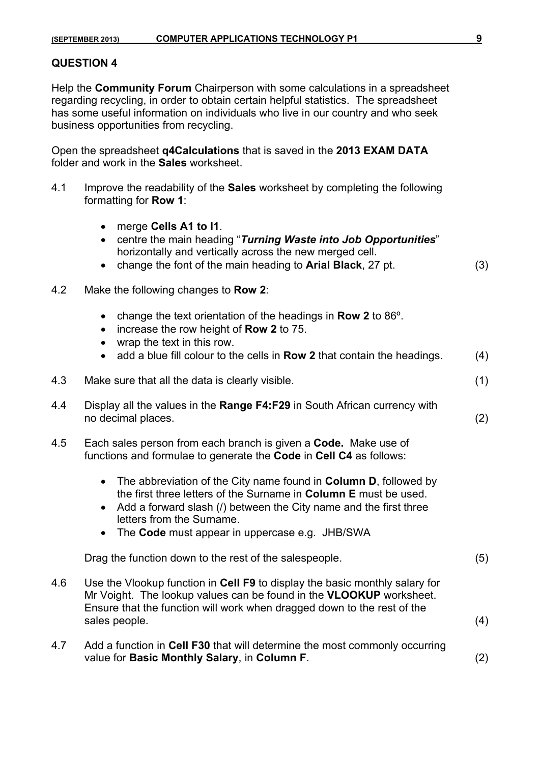Help the **Community Forum** Chairperson with some calculations in a spreadsheet regarding recycling, in order to obtain certain helpful statistics. The spreadsheet has some useful information on individuals who live in our country and who seek business opportunities from recycling.

Open the spreadsheet **q4Calculations** that is saved in the **2013 EXAM DATA**  folder and work in the **Sales** worksheet.

- 4.1 Improve the readability of the **Sales** worksheet by completing the following formatting for **Row 1**:
	- merge **Cells A1 to I1**.
	- centre the main heading "*Turning Waste into Job Opportunities*" horizontally and vertically across the new merged cell.
	- change the font of the main heading to **Arial Black**, 27 pt. (3)
- 4.2 Make the following changes to **Row 2**:
	- change the text orientation of the headings in **Row 2** to 86º.
	- increase the row height of **Row 2** to 75.
	- wrap the text in this row.
	- add a blue fill colour to the cells in **Row 2** that contain the headings. (4)
- 4.3 Make sure that all the data is clearly visible. (1)
- 4.4 Display all the values in the **Range F4:F29** in South African currency with no decimal places. (2)
- 4.5 Each sales person from each branch is given a **Code.** Make use of functions and formulae to generate the **Code** in **Cell C4** as follows:
	- The abbreviation of the City name found in **Column D**, followed by the first three letters of the Surname in **Column E** must be used.
	- Add a forward slash (*I*) between the City name and the first three letters from the Surname.
	- The **Code** must appear in uppercase e.g. JHB/SWA

Drag the function down to the rest of the salespeople. (5)

- 4.6 Use the Vlookup function in **Cell F9** to display the basic monthly salary for Mr Voight. The lookup values can be found in the **VLOOKUP** worksheet. Ensure that the function will work when dragged down to the rest of the sales people. (4)
- 4.7 Add a function in **Cell F30** that will determine the most commonly occurring value for **Basic Monthly Salary**, in **Column F**. (2)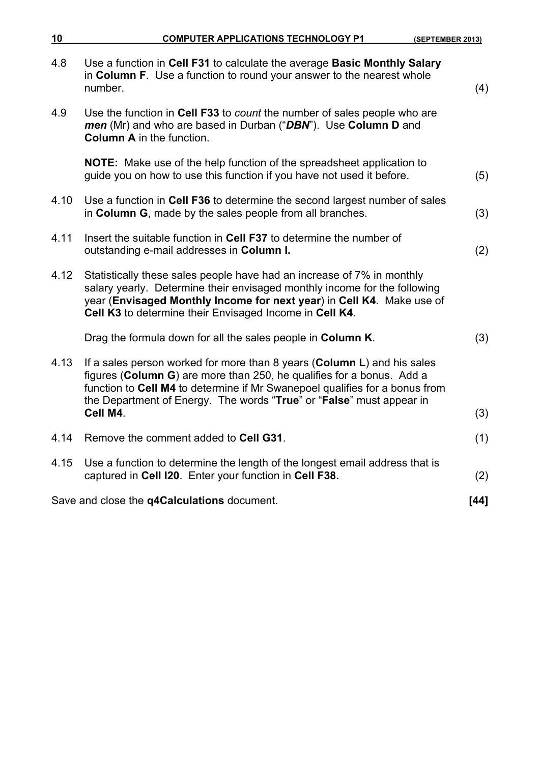| <u>10</u> | <b>COMPUTER APPLICATIONS TECHNOLOGY P1</b><br>(SEPTEMBER 2013)                                                                                                                                                                                                                                          |      |
|-----------|---------------------------------------------------------------------------------------------------------------------------------------------------------------------------------------------------------------------------------------------------------------------------------------------------------|------|
| 4.8       | Use a function in Cell F31 to calculate the average Basic Monthly Salary<br>in Column F. Use a function to round your answer to the nearest whole<br>number.                                                                                                                                            | (4)  |
| 4.9       | Use the function in Cell F33 to count the number of sales people who are<br>men (Mr) and who are based in Durban ("DBN"). Use Column D and<br><b>Column A</b> in the function.                                                                                                                          |      |
|           | <b>NOTE:</b> Make use of the help function of the spreadsheet application to<br>guide you on how to use this function if you have not used it before.                                                                                                                                                   | (5)  |
| 4.10      | Use a function in Cell F36 to determine the second largest number of sales<br>in Column G, made by the sales people from all branches.                                                                                                                                                                  | (3)  |
| 4.11      | Insert the suitable function in Cell F37 to determine the number of<br>outstanding e-mail addresses in Column I.                                                                                                                                                                                        | (2)  |
| 4.12      | Statistically these sales people have had an increase of 7% in monthly<br>salary yearly. Determine their envisaged monthly income for the following<br>year (Envisaged Monthly Income for next year) in Cell K4. Make use of<br>Cell K3 to determine their Envisaged Income in Cell K4.                 |      |
|           | Drag the formula down for all the sales people in Column K.                                                                                                                                                                                                                                             | (3)  |
| 4.13      | If a sales person worked for more than 8 years (Column L) and his sales<br>figures (Column G) are more than 250, he qualifies for a bonus. Add a<br>function to Cell M4 to determine if Mr Swanepoel qualifies for a bonus from<br>the Department of Energy. The words "True" or "False" must appear in |      |
|           | Cell M4.                                                                                                                                                                                                                                                                                                | (3)  |
| 4.14      | Remove the comment added to Cell G31.                                                                                                                                                                                                                                                                   | (1)  |
| 4.15      | Use a function to determine the length of the longest email address that is<br>captured in Cell I20. Enter your function in Cell F38.                                                                                                                                                                   | (2)  |
|           | Save and close the q4Calculations document.                                                                                                                                                                                                                                                             | [44] |
|           |                                                                                                                                                                                                                                                                                                         |      |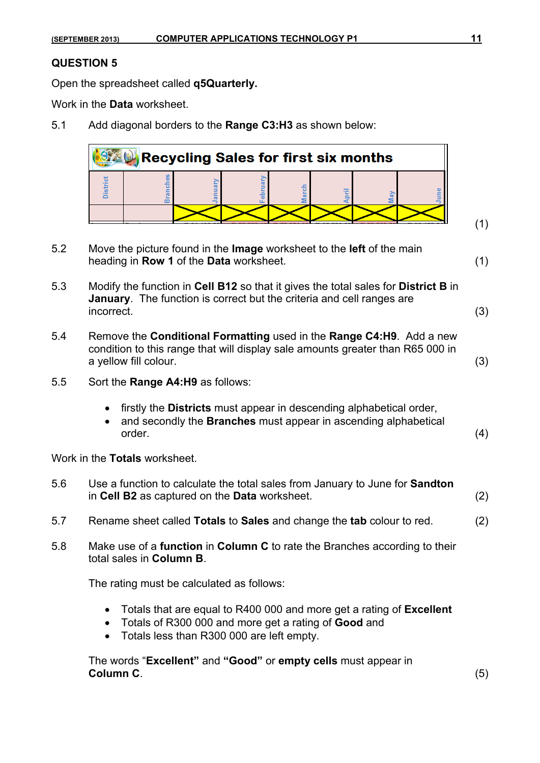Open the spreadsheet called **q5Quarterly.**

Work in the **Data** worksheet.

5.1 Add diagonal borders to the **Range C3:H3** as shown below:



- 5.2 Move the picture found in the **Image** worksheet to the **left** of the main heading in **Row 1** of the **Data** worksheet. (1)
- 5.3 Modify the function in **Cell B12** so that it gives the total sales for **District B** in **January**. The function is correct but the criteria and cell ranges are incorrect. (3)
- 5.4 Remove the **Conditional Formatting** used in the **Range C4:H9**. Add a new condition to this range that will display sale amounts greater than R65 000 in a yellow fill colour. (3)
- 5.5 Sort the **Range A4:H9** as follows:
	- firstly the **Districts** must appear in descending alphabetical order,
	- and secondly the **Branches** must appear in ascending alphabetical order. (4)

Work in the **Totals** worksheet.

- 5.6 Use a function to calculate the total sales from January to June for **Sandton** in **Cell B2** as captured on the **Data** worksheet. (2)
- 5.7 Rename sheet called **Totals** to **Sales** and change the **tab** colour to red. (2)
- 5.8 Make use of a **function** in **Column C** to rate the Branches according to their total sales in **Column B**.

The rating must be calculated as follows:

- Totals that are equal to R400 000 and more get a rating of **Excellent**
- Totals of R300 000 and more get a rating of **Good** and
- Totals less than R300 000 are left empty.

The words "**Excellent"** and **"Good"** or **empty cells** must appear in **Column C**. (5)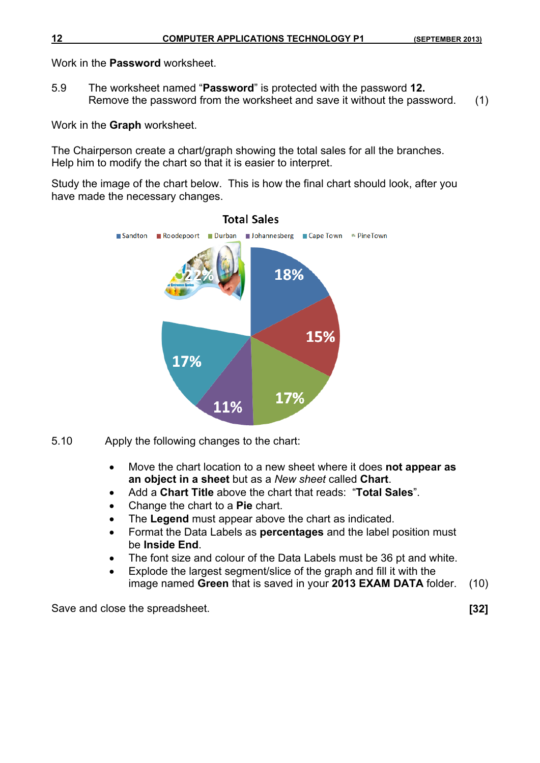Work in the **Password** worksheet.

5.9 The worksheet named "**Password**" is protected with the password **12.**  Remove the password from the worksheet and save it without the password. (1)

Work in the **Graph** worksheet.

The Chairperson create a chart/graph showing the total sales for all the branches. Help him to modify the chart so that it is easier to interpret.

Study the image of the chart below. This is how the final chart should look, after you have made the necessary changes.



#### **Total Sales**

- 5.10 Apply the following changes to the chart:
	- Move the chart location to a new sheet where it does **not appear as an object in a sheet** but as a *New sheet* called **Chart**.
	- Add a **Chart Title** above the chart that reads: "**Total Sales**".
	- Change the chart to a **Pie** chart.
	- The Legend must appear above the chart as indicated.
	- Format the Data Labels as **percentages** and the label position must be **Inside End**.
	- The font size and colour of the Data Labels must be 36 pt and white.
	- Explode the largest segment/slice of the graph and fill it with the image named **Green** that is saved in your **2013 EXAM DATA** folder. (10)

Save and close the spreadsheet. **[32]**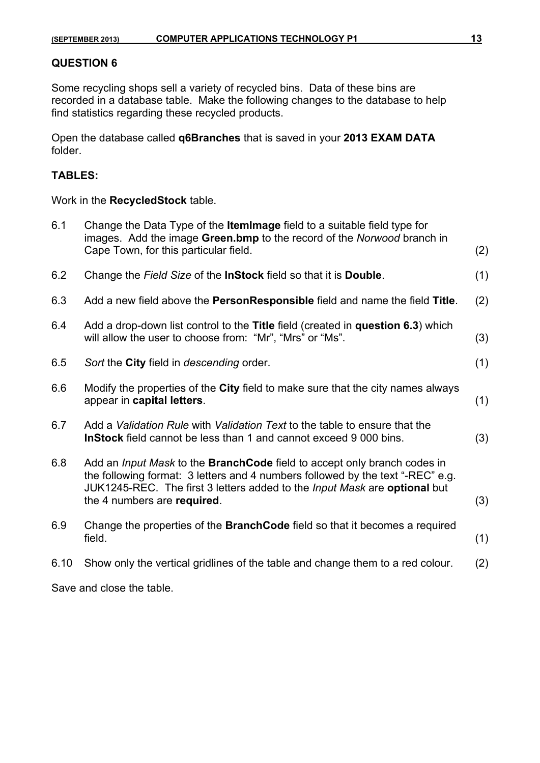Some recycling shops sell a variety of recycled bins. Data of these bins are recorded in a database table. Make the following changes to the database to help find statistics regarding these recycled products.

Open the database called **q6Branches** that is saved in your **2013 EXAM DATA** folder.

### **TABLES:**

Work in the **RecycledStock** table.

| 6.1  | Change the Data Type of the ItemImage field to a suitable field type for<br>images. Add the image Green.bmp to the record of the Norwood branch in<br>Cape Town, for this particular field.                                                                            | (2) |
|------|------------------------------------------------------------------------------------------------------------------------------------------------------------------------------------------------------------------------------------------------------------------------|-----|
| 6.2  | Change the Field Size of the InStock field so that it is Double.                                                                                                                                                                                                       | (1) |
| 6.3  | Add a new field above the PersonResponsible field and name the field Title.                                                                                                                                                                                            | (2) |
| 6.4  | Add a drop-down list control to the Title field (created in question 6.3) which<br>will allow the user to choose from: "Mr", "Mrs" or "Ms".                                                                                                                            | (3) |
| 6.5  | Sort the City field in descending order.                                                                                                                                                                                                                               | (1) |
| 6.6  | Modify the properties of the City field to make sure that the city names always<br>appear in capital letters.                                                                                                                                                          | (1) |
| 6.7  | Add a Validation Rule with Validation Text to the table to ensure that the<br><b>InStock</b> field cannot be less than 1 and cannot exceed 9 000 bins.                                                                                                                 | (3) |
| 6.8  | Add an Input Mask to the BranchCode field to accept only branch codes in<br>the following format: 3 letters and 4 numbers followed by the text "-REC" e.g.<br>JUK1245-REC. The first 3 letters added to the Input Mask are optional but<br>the 4 numbers are required. | (3) |
| 6.9  | Change the properties of the <b>BranchCode</b> field so that it becomes a required<br>field.                                                                                                                                                                           | (1) |
| 6.10 | Show only the vertical gridlines of the table and change them to a red colour.                                                                                                                                                                                         | (2) |
|      | Save and close the table.                                                                                                                                                                                                                                              |     |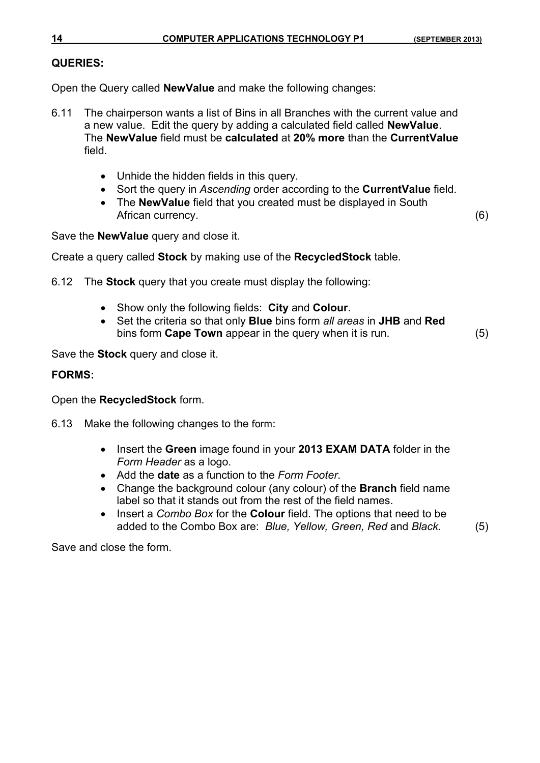#### **QUERIES:**

Open the Query called **NewValue** and make the following changes:

- 6.11 The chairperson wants a list of Bins in all Branches with the current value and a new value. Edit the query by adding a calculated field called **NewValue**. The **NewValue** field must be **calculated** at **20% more** than the **CurrentValue**  field.
	- Unhide the hidden fields in this query.
	- Sort the query in *Ascending* order according to the **CurrentValue** field.
	- The **NewValue** field that you created must be displayed in South African currency. (6)

Save the **NewValue** query and close it.

Create a query called **Stock** by making use of the **RecycledStock** table.

6.12 The **Stock** query that you create must display the following:

- Show only the following fields: **City** and **Colour**.
- Set the criteria so that only **Blue** bins form *all areas* in **JHB** and **Red** bins form **Cape Town** appear in the query when it is run. (5)

Save the **Stock** query and close it.

#### **FORMS:**

Open the **RecycledStock** form.

- 6.13 Make the following changes to the form:
	- Insert the **Green** image found in your **2013 EXAM DATA** folder in the *Form Header* as a logo.
	- Add the **date** as a function to the *Form Footer*.
	- Change the background colour (any colour) of the **Branch** field name label so that it stands out from the rest of the field names.
	- Insert a *Combo Box* for the **Colour** field. The options that need to be added to the Combo Box are: *Blue, Yellow, Green, Red* and *Black.* (5)

Save and close the form.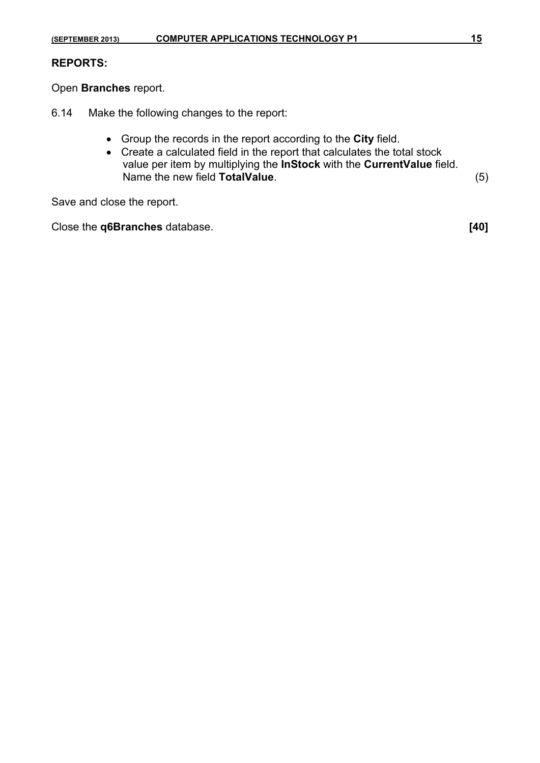#### **REPORTS:**

Open **Branches** report.

- 6.14 Make the following changes to the report:
	- Group the records in the report according to the **City** field.
	- Create a calculated field in the report that calculates the total stock value per item by multiplying the **InStock** with the **CurrentValue** field. Name the new field **TotalValue**. (5)

Save and close the report.

Close the **q6Branches** database. **[40]**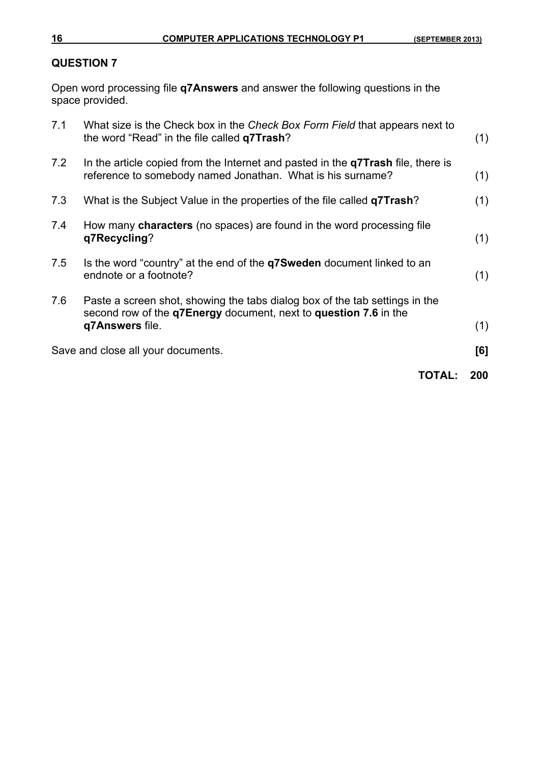Open word processing file **q7Answers** and answer the following questions in the space provided.

|     | TOTAL:                                                                                                                                                             | 200 |
|-----|--------------------------------------------------------------------------------------------------------------------------------------------------------------------|-----|
|     | Save and close all your documents.                                                                                                                                 | [6] |
| 7.6 | Paste a screen shot, showing the tabs dialog box of the tab settings in the<br>second row of the q7Energy document, next to question 7.6 in the<br>q7Answers file. | (1) |
| 7.5 | Is the word "country" at the end of the <b>q7Sweden</b> document linked to an<br>endnote or a footnote?                                                            | (1) |
| 7.4 | How many <b>characters</b> (no spaces) are found in the word processing file<br>q7Recycling?                                                                       | (1) |
| 7.3 | What is the Subject Value in the properties of the file called q7Trash?                                                                                            | (1) |
| 7.2 | In the article copied from the Internet and pasted in the q7Trash file, there is<br>reference to somebody named Jonathan. What is his surname?                     | (1) |
| 7.1 | What size is the Check box in the Check Box Form Field that appears next to<br>the word "Read" in the file called <b>q7Trash</b> ?                                 | (1) |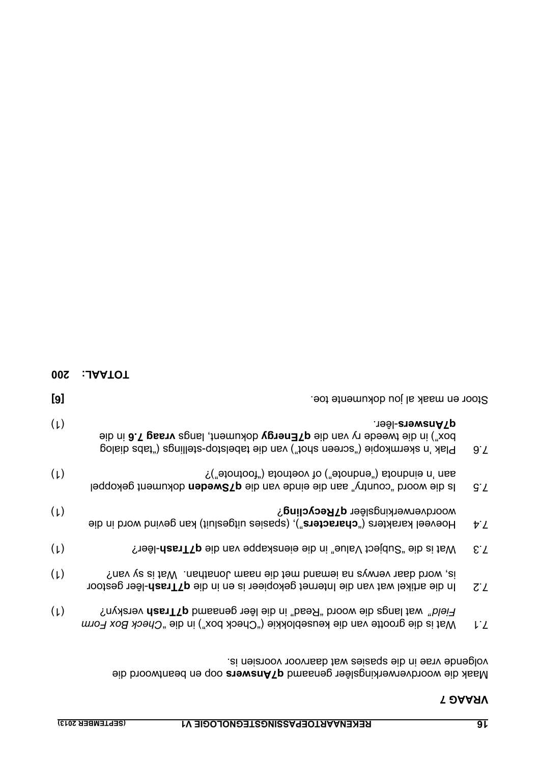oop en beantwoord die **q7Answers** genaamd Maak die woordverwerkingslêer volgende vrae in die spasies wat daarvoor voorsien is.

|     | The discription of the Internet development in die discription of the discription | . C. L |
|-----|-----------------------------------------------------------------------------------|--------|
| (L) | Field" wat langs die woord "Read" in die lêer genaamd <b>q7Trash</b> verskyn?     |        |
|     | Wat is die grootte van die keuseblokkie ("Check box") in die "Check Box Form      | ιZ     |

| $(\mu)$ | is, word daar verwys na iemand met die naam Jonathan. Wat is sy van?            |       |
|---------|---------------------------------------------------------------------------------|-------|
|         | In die artikel wat van die Internet gekopieer is en in die q7Trash-lêer gestoor | $Z^2$ |

| (L) | 7.3 Wat is die "Subject Value" in die eienskappe van die q7Trash-lêer? |  |
|-----|------------------------------------------------------------------------|--|
|     |                                                                        |  |

- 7.4 Hoeveel kan atericies ("characters"), (spasies uitgesluit) kan gevind word in die woordverwerkingslêer **q7Recycling**? **woordverwerkingslêer** with the state of the state of the state of the state of the state of the state of the state of the state of the state of the state of the state of the state of th
- 7.5 Is die woord<sup>"</sup> does die einde van die einde van die van die van die die <sup>12.7</sup> Is die <sup>12.5</sup> Is die <sup>12.</sup>5 I aan 'n eindnota ("endnote") of voetnota ("footnote")? (1)
- 7.6 Plak 'n skermkopie ("tabelstab you shot") van die tabelstop-stellings dialog 9.7 box") in die tweede ry van die **q7Energy dokument**, langs **vraag 7.6** in die -lêer. (1) **q7Answers**

**[6]** Stoor en maak al jou dokumente toe.

**TOTAAL: 200**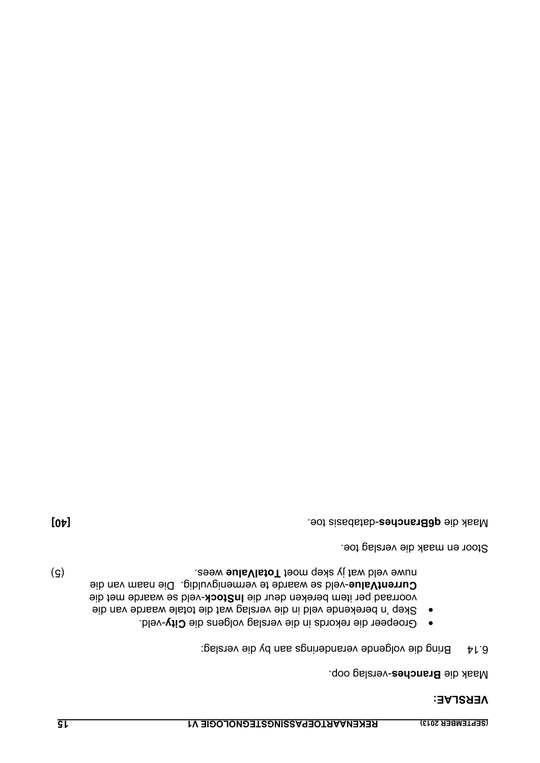#### **VERSLAE:**

Maak die **Branches-verslag oop.** 

- 6.14 Bring die volgende veranderings aan by die verslag:
- -veld. **City** Groepeer die rekords in die verslag volgens die •
- Skep 'n berekende veld in die verslag wat die totale waarde van die voorraad per item bereken deur die **InStock-veld se waarde met die** -veld se waarde te vermenigvuldig. Die naam van die **CurrentValue** External wat jy sep moet Total**ue** wees. The most separate is a separate of the separate of the separate is the separate of the separate of the separate of the separate is  $\mathbf{F}$  and  $\mathbf{F}$  is a separate is a separate

Stoor en maak die verslag toe.

**The databasis of the magnetic toe. The magnetic toe. The magnetic toe experiment of the distribution of the distribution of the distribution of the distribution of the distribution of the distribution of the distribution**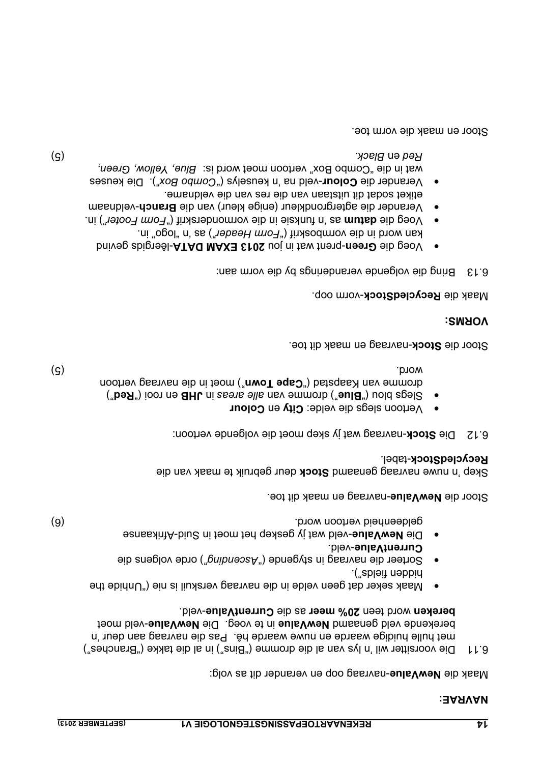#### **NAVRAE:**

Maak die **NewValue**-navraag oop en verander dit as volg:

- G.11 Die voorsitter wil 'n lys van al die dromme ("Bins") in al die takke ("Branches") met hulle huidige waarde en nuwe waarde hê. Pas die navraag aan deur 'n berekende veld genaamd **NewValue** in te voeg. Die NewValue-veld moet bereken word teen 20% meer as die CurrentValue-veld.
- Maak seker dat geen velde in die navraag verskuil is nie ("Unhide the hidden fields").
- Sorteer die navraag in stygende (" Ascending") orde volgens die CurrentValue-veld.
- **·** Die NewValue-veld wat jy geskep het moet in Suid-Afrikaanse (6) geldeenheid vertoon word.

Stoor die NewValue-navraag en maak dit toe.

deur gebruik te maak van die **Stock** Skep 'n nuwe navraag genaamd RecycledStock-tabel.

die volgende vertoon: -navraag wat jy skep moet **Stock** 6.12 Die

Vertoon slegs die velde: City en Colour

Slegs blou ("**Bue**") dromme van alle areas in **JHB** en rooi (" **Red**") moet is die navraag ("**Cape Town**") moet in die navraag vertoon word. (5)

Stoor die **Stock-navraag en maak dit toe.** 

## **VORMS:**

### Maak die **RecycledStock**-vorm oop.

- andering and die vorm aanstelenings by die volm aan:
- Voeg die Green-prent wat in jou 2013 EXAM DATA-lêergids gevind
- kan word in die vormboskrif ("Form Header") as 'n "opol" in. ") in. *Form Footer* as 'n funksie in die vormonderskrif (" **datum** Voeg die • -veldnaam **Branch** Verander die agtergrondkleur (enige kleur) van die •
- etiket sodat dit uitstaan van die res van die veldname. "). Die keuses *Combo Box* -veld na 'n keuselys (" **Colour** Verander die •
- wat in die "Combo Box" vertoon moet word is: Blue, Yellow, Green, (5) *Black.* en *Red*

Stoor en maak die vorm toe.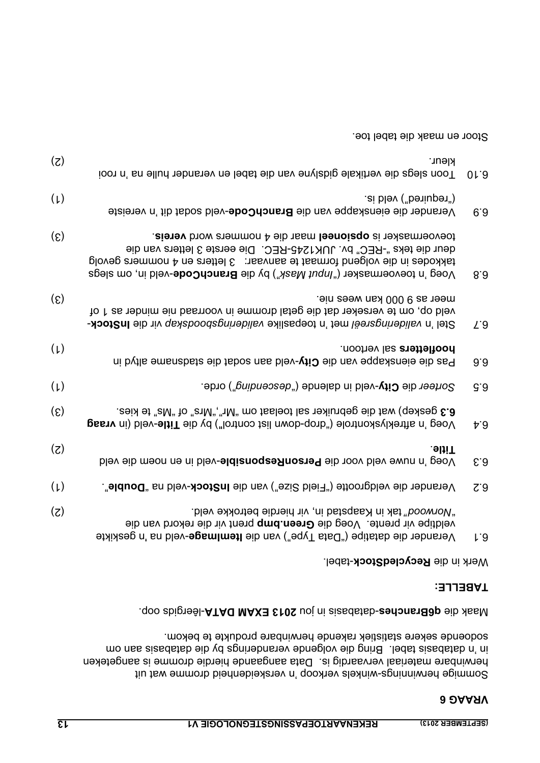Sommige heminnings-winkels verkoop 'n verskeidenheid bien omme wat uit herwinbare materiaal vervaardig is. Data aangaande hierdie dromme is aangeteken in 'n databasis tabel. Bring die veranderings by databasis aan om met versaak die vol sodoende sekere statistiek rakende herwinbare produkte te bekom.

-lêergids oop. **2013 EXAM DATA** -databasis in jou **q6Branches** Maak die

### **TABELLE:**

Werk in die **RecycledStock-tabel.** 

| 01.9          | <b>Kleur.</b><br>Toon n' sn ellud nentikale gidslyne van die tabel en verander hulle na 'n rooi                                                                                                                                                                                           | (5)                         |
|---------------|-------------------------------------------------------------------------------------------------------------------------------------------------------------------------------------------------------------------------------------------------------------------------------------------|-----------------------------|
| 6.9           | .ei bləv ("bəniupən")<br>Verander die eienskappe van die BranchCode-veld sodat dit 'n vereiste                                                                                                                                                                                            | $(\iota)$                   |
| 8.3           | toevoermasker is opsioneel maar die 4 nommers word vereis.<br>deur die teks "-REC" bv. JUK1245-REC. Die eerste 3 letters van die<br>takkodes in die volgend formaat te aanvaar: 3 letters en 4 nommers gevolg<br>Voeg 'n toevoermasker ("Ingut Mask") by die BranchCode-veld in, om slegs | $\left( \mathcal{S}\right)$ |
| L.9           | meer as 9 000 kan wees nie.<br>veld op, om te verseker dat die getal dromme in voorraad nie minder as 1 of<br>Stel 'n valideringsreël met 'n toepaslike valideringsboodskap vir die InStock-                                                                                              | (၄)                         |
| 9.9           | hoofietters sal vertoon.<br>Pas die eienskappe van die City-veld aan sodat die stadsname altyd in                                                                                                                                                                                         | $(\mathsf{L})$              |
| G.3           | Sorteer die City-veld in dalende ("descending") orde.                                                                                                                                                                                                                                     | $(\iota)$                   |
| $\tau$ 9      | .abix et "alv" fo "an $M$ ", " $M$ " mo fasleof las reliundeg eib faw (qexaeg $\boldsymbol{\mathcal{E}}.\boldsymbol{\mathcal{S}}$<br>Veeg 'n aftreklyskontrole") blop-down list control") by die Title-veld (in vraag                                                                     | $\left( \mathcal{S}\right)$ |
| $\epsilon$ .3 | .əliiT<br>Voeg 'n nuwe veld voor die PersonResponsle-veld in en noem die veld                                                                                                                                                                                                             | (Z)                         |
| Z.3           | Verander die veldgrootte ("Field Size") van die <b>InStock-</b> veld na " <b>Double</b> ".                                                                                                                                                                                                | $(\iota)$                   |
| 1.9           | "Norwood" tak in Kaapstad in, vir hierdie betrokke veld.<br>veldtipe vir prente. Voeg die Green.bmp prent vir die rekord van die<br>Verander die datatipe ("bata Type") van die ItemImage-veld na 'n geskikte                                                                             | (5)                         |

Stoor en maak die tabel toe.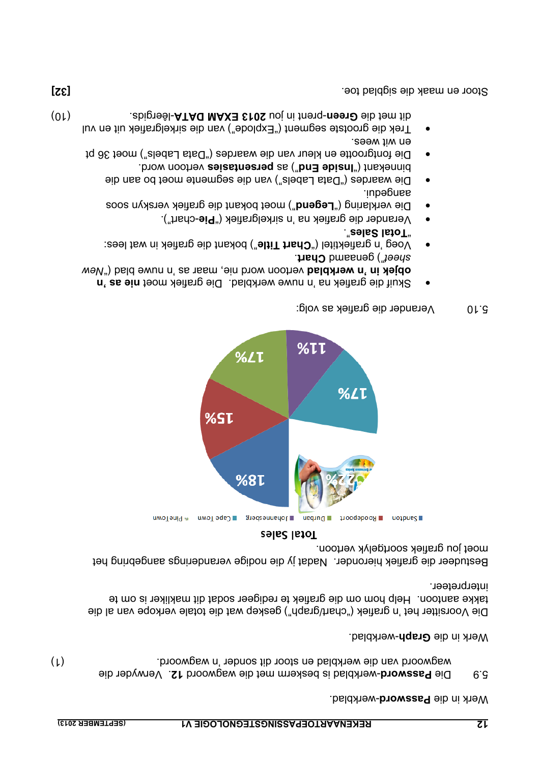5.9 - Die **Password-**werkblad is beskerm met die wagwoord 12. Verwyder die wagwoord van die werkblad en stoor dit sonder 'n wagwoord. (1)

Werk in die **Graph-werkblad.** 

Die Voorsitter het 'n grafiek") wat die verkope van die verkope van al die takke aantoon. Help hom om die grafiek te redigeer sodat dit makliker is om te interpreteer.

Bestudeer die grafiek hieronder. Nadat jy die nodige veranderings aangebring het moet jou grafiek soortgelyk vertoon.



#### Total Sales

- 5.10 Verander die grafiek as volg:
- Skuif die grafiek na 'n nuwe werkblad. Die grafiek moet nie as 'n *New* vertoon word nie, maar as 'n nuwe blad (" **objek in 'n werkblad** . **Chart** ") genaamd *sheet*
- Voeg 'n grafiektitel ("**Chart Title**") bokant die grafiek in wat lees: ". **Total Sales** "
- -chart"). **Pie** Verander die grafiek na 'n sirkelgrafiek (" •
- Die verklaring ("**Legend**") moet bokant die grafiek verskyn soos
- aangedui. Die waardes ("Data Labels") van die segmente moet bo aan die binnekant ("lnside End") as persentasies vertoon word.
- Die fontgrootte en kleur van die waardes ("Data Labels") moet 36 pt en wit wees.
- ent die drootste segment ("Explode") van die sirkelgrafiek uit en vul dit met die Green-prent in jou 2013 EXAM DATA-lêergids. **But die staan die versus dit met die versus die versus dit met die versus die staan die versus die versus die met die versus die met die versus die met die met die v**

**[32]** Stoor en maak die sigblad toe.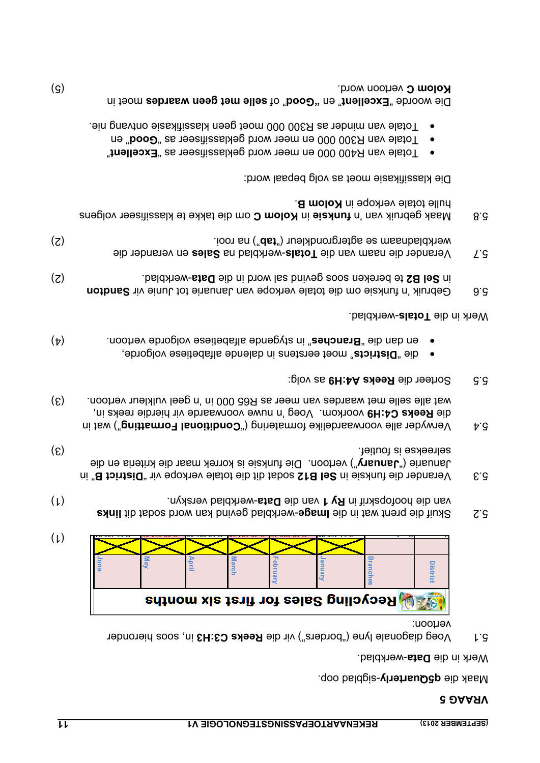Maak die **q5Quarterly-sigblad oop.** 

Werk in die **Data-werkblad**.

5.1 Voeg diagonale lyne ("borders") vir die Reeks C3:H3 in, soos hieronder vertoon:



- **Examely and the links word wat in die lunkblad sodat dit links and sodat dit links** van die hoofopskrif in Ry 1 van die Data-werkblad verskyn. The monomic in the hoof in the hoof in the hoof in t
- 5.3 **District B**<sup>"</sup> in the total diffuse of **B12** sodat dit die totale view ope vir "**District B**<sup>"</sup> in Januarie ("January") vertoon. Die funksie is korrek maar die kriteria en die selreekse is foutief. (3)
- 5.4 Yerwyder alle voorwaardelike formatering ("Conditional Formatting") wat in voorkom. Voeg 'n nuwe voorwaarde vir hierdie reeks in, **C4:H9 Reeks** die (3) wat alle selle met waardes van meer as R65 000 in 'n geel vulkleur vertoon.
- 5.5 Sorteer die **Reeks A4:H9** as volg:
- e alfabeties woet eerstens in dalende alfabetiese volgorde,
- **(b)** stydende also vertoonde alfabetiese volgorde vertoon.  $(4)$

#### Werk in die **Totals**-werkblad.

- 5.6 Gebruik 'n funksie om die totale van dan Januarie tot Junie vir Sandton in **Sel B2** te bereken soos gevind sal word in die **Data**-werkblad. (2)
- en verander die **Sales** -werkblad na **Totals** 5.7 Verander die naam van die werkbladnaam se agtergrondkleur ("**dsi**") na rooi. (2) (2)
- om die takke te klassifiseer volgens **Kolom C** in **funksie** 5.8 Maak gebruik van 'n hulle totale verkope in Kolom B.

Die klassifikasie moet as volg bepaal word:

- Totale van R400 000 en meer word geklassifiseer as "Excellent"
- **Totale van R300 000 en meer word geklassifiseer as " Good**" en Totale van minder as R300 000 moet geen klassifikasie ontvang nie. •

Die woorde "Excellent" en 'to "boo" of selle met geen waardes moet in vertoon word. (5) **Kolom C** 

 $(\mu)$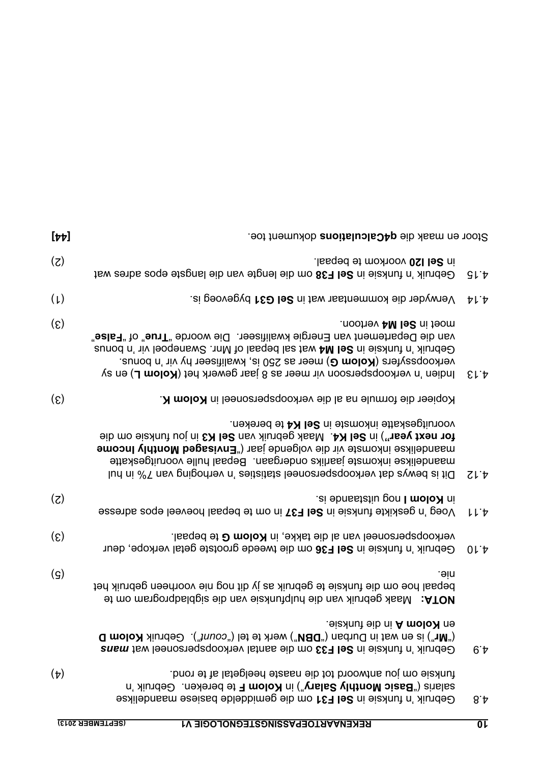| $[\nabla \nu]$              | Stoor en maak die q4Calculations dokument toe.                                                                                                                                                                                                                                                                                                              |                              |
|-----------------------------|-------------------------------------------------------------------------------------------------------------------------------------------------------------------------------------------------------------------------------------------------------------------------------------------------------------------------------------------------------------|------------------------------|
| (5)                         | in Sel I20 voorkom te bepaal.<br>Gebruik 'n funksie in Sel F38 om die lengte van die langste epos adres wat                                                                                                                                                                                                                                                 | こし や                         |
| $(\mu)$                     | Verwyder die kommentaar wat in Sel G31 bygevoeg is.                                                                                                                                                                                                                                                                                                         | ヤレヤ                          |
| $\left( \mathcal{E}\right)$ | moet in Sel M4 vertoon.<br>van die Departement van Energie kwalifiseer. Die woorde "True" of "False"<br>Gebruik 'n funksie in Sel M4 wat sal bepaal of Mnr. Swanepoel vir 'n bonus<br>verkoopssyfers (Kolom G) meer as 250 is, kwalifiseer hy vir 'n bonus.<br>Indien 'n verkoopspersoon vir meer as 8 jaar gewerk het (Kolom L) en sy                      | $E \upharpoonright \uparrow$ |
| $\epsilon$                  | Kopieer die formule na al die verkoopspersoneel in Kolom K.                                                                                                                                                                                                                                                                                                 |                              |
|                             | vooruitgeskatte inkomste in Sel K4 te bereken.<br>for next year") in Sel K4. Maak gebruik van Sel K3 in jou funksie om die<br><b>amoonl vidtroM begssivn3</b> ") assi ebneglov eib niv etemokni esalilebnssm<br>maandelikse inkomste jaarliks ondergaan. Bepaal hulle vooruitgeskatte<br>Dit is bewys day verkoopspersoneel staties 'n verhoging van 7% nul | ZL                           |
| (5)                         | in Kolom I nog uitstaande is.<br>Voeg 'n geskikte funksie in Sel F37 in om te bepaal hoeveel epos adresse                                                                                                                                                                                                                                                   | ししゃ                          |
| $\epsilon$                  | verkoopspersoneel van al die takke, in Kolom G te bepaal.<br>Gebruik 'n funksie in Sel F36 om die tweede grootste getal verkope, deur                                                                                                                                                                                                                       | 01.4                         |
| $\left( \mathsf{S}\right)$  | .əin<br>bepaal hoe om die funksie te gebruik as jy dit nog nie voorheen gebruik het<br>st mo mangongbaldgia sib nav sia hulpfunksie van die sigbladprogram om te                                                                                                                                                                                            |                              |
|                             | en <b>Kolom A</b> in die funksie.<br><b>Q</b> moloX $\lambda$ iunde $\Theta$ ("huos") let et $\lambda$ herk te tel ("nuos"). Gebruik Kolom D<br>Gebruik 'n funksie in Sel F33 om die aantal verkoopspersoneel wat mans                                                                                                                                      | 6t                           |
| $(\nabla)$                  | funksie om jou antwoord tot die naaste heelgetal af te rond.<br>salaris ("Basic Monthly Salary") in Kolom F te bereken. Gebruik 'n<br>Gebruik 'n funksie in Sel F31 om die gemiddelde basiese maandelikse                                                                                                                                                   | 8.4                          |
|                             | (SEPTEMBER 2013)<br>REKENAARTOEPASSINGSTEGNOLOGIE V1                                                                                                                                                                                                                                                                                                        | $\overline{0}$               |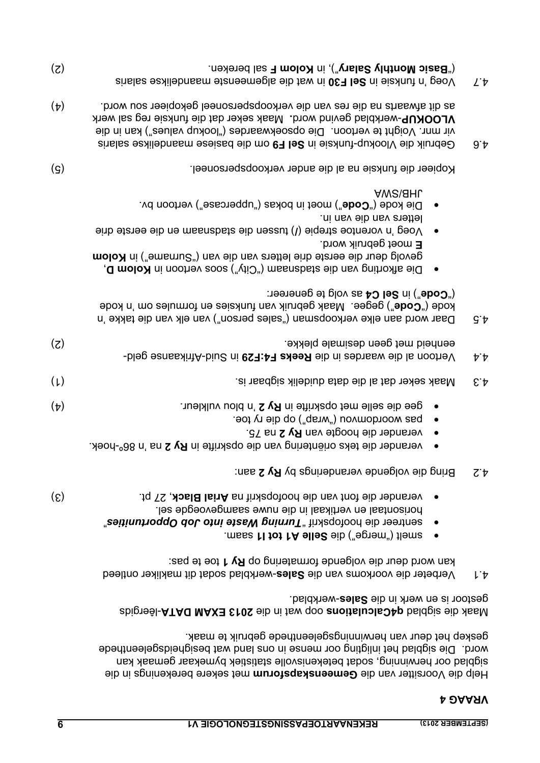Help die Voorsitter van die Gemeenskapsforum met sekere berekenings in die sigblad oor herwinning, sodat betekenisvolle statistiek bymekaar gemaak kan word. Die sigblad het inligting oor mense in ons land wat besigheidsgeleenthede geskep het deur van herwinningsgeleenthede gebruik te maak.

Maak die sigblad q4Calculations oop wat in die 2013 EXAM DATA-lêergids gestoor is en werk in die **Sales**-werkblad.

- 4.1 Verbeter die voorkoms van die **Sales**-werkblad sodat dit makliker ontleed kan word deur die volgende formatering op Ry 1 toe te pas:
- smelt ("merge") die **Selle A1 tot I1 smalt ("selle in 1988**
- **v sentreer die hoofopskrif "Turning Waste into Job Opportunities"** horisontaal en vertikaal in die nuwe saamgevoegde sel.
- , 27 pt. (3) **Arial Black** van die hoofopskrif na verander die font •
- 4.2 Bring die volgende veranderings by Ry 2 aan:
- verander die teks oriëntering van die opskrifte in Ry 2 na 'n 86<sup>°-hoek.</sup>
- **varander die hoogte van Ry 2 na 75.**
- pas woordomvou ("wrap") op die ry toe. •
- gee die selle met opskrifte in **Ry 2** 'n blou vulkleur. (4) **Analyzie met opskrifte in 198**
- data data data data duidelik sigbaar is. (1) data seker dat al die seker dat al die seker dat al die seker dat
- 4.4 Vertoon al die waardes in die Reeks F4:F29 in Suid-Afrikaanse geldeenheid met geen desimale plekke. (2)
- 4.5 Daar word aan elke verkoopsman ("sales person") van elk van die takke 'n kode ("**Gode**") gegee. Maak gebruik van funksies en formules om 'n kode as volg te genereer: **Sel C4** as volg te genereer:
- **Journal op an interpoon** ("Qity") waard in Die Die Die Afrika van die stad van die van die van die stads van di gevolg deur die eerste drie letters van die van ("Surname") in Kolom moet gebruik word. **E**
- ) tussen die stadsnaam en die eerste drie **/** Voeg 'n vorentoe strepie ( letters van die van in.
- Die kode ("Gode") moet in bokas (" popercase") vertoon bv. JHB/SWA

Kopieer die funksie na al die ander verkoopspersoneel. (5)

- 4.6 Gebruik die Vlookup-funksie in Sel F9 om die basiese maandelikse salaris ork mur. Voight te vertoon. Die opsoekwaardes ("lookup values") kan in die **MLOOKUP-werkblad gevind word. Maak seker dat die funksie reg sal werk** as dit afwaarts na die res van die verkoopspersoneel gekopieer sou word. (4)
- in wat die algemeenste maandelikse salaris **Sel F30** 4.7 Voeg 'n funksie in sal bereken. (2) **Kolom F** sal bereken. (2) **Reservent Monthly Salary (2)**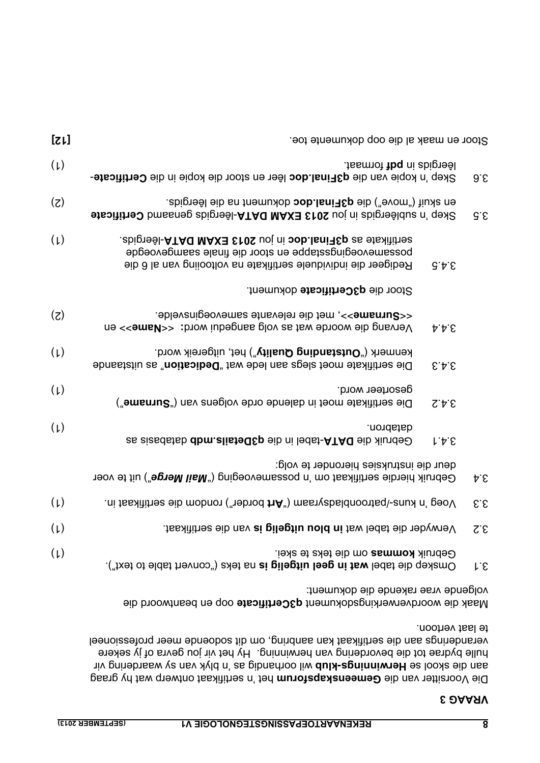Die Voorsitter van die Gemeenskapsforum het 'n sertifikaat ontwerp wat hy graag as operagering as 'n betwinning as 'n plyk van die skool as 'n blyk van die selbubg vir hulle bydrae tot die bevordering van herwinning. Hy het vir jou gevra of jy sekere veranderings aan die sertifikaat kan aanbring, om dit sodoende meer professioneel te laat vertoon.

Maak die woordverwerkingsdokument q3Certificate oop en beantwoord die volgende vrae rakende die dokument:

| 9.6                              |         | lesrgids in pdf formaat.<br>Skep 'n kopie van die q3Final.doc lêer en stoor die kopie in die Certificate-                                                                              | $(\iota)$ |
|----------------------------------|---------|----------------------------------------------------------------------------------------------------------------------------------------------------------------------------------------|-----------|
| G.E                              |         | en skuif ("move") die <b>q3Final.doc</b> dokument na die lêergids.<br>Skep 'n sublêergids in jou 2013 EXAM DATA-lêergids genaamd Certificate                                           | (5)       |
|                                  | G.4.5   | . abigreal-ATAQ MAXE £102 uoj ni oob.lani RC as etskiittea<br>possamevoegingstappe en stoor die finale saamgevoegde<br>Redigeer die individuele sertifikate na voltooiing van al 6 die | $(\iota)$ |
|                                  |         | Stoor die q3Certificate dokument.                                                                                                                                                      |           |
|                                  | P P E   | -surname>>, met die relevante samevoeginsvelde.<br>Vervang die woorde wat as volg aangedui word: << amb>>> en                                                                          | (5)       |
|                                  | 5.4.3   | kenmerk ("Outstanding Quality") het, uitgereik word.<br>Die sertifikate moet slegs aan lede wat "Dedication" as uitstaande                                                             | (L)       |
|                                  | S.A.S   | gesorteer word.<br>Die sertifikate moet in dalende orde volgens van ("surname")                                                                                                        | (L)       |
|                                  | $1 + 5$ | .nondatab<br>Gebruik die DATA-tads in die q3Details mdb databasis as                                                                                                                   | (L)       |
| ÞΕ                               |         | deur die instruksies hieronder te volg:<br>Gebruik hierdie sertifikaat om 'n possamevoeging ("Mail Merge") uit te voer                                                                 |           |
| $\mathcal{E}.\mathcal{E}$        |         | .ni tsaxitimes eib mobnon ("nebnod trA") mssrychsldnoontsq\-anux n' geoV                                                                                                               | (L)       |
| $Z.\mathcal{E}$                  |         | Verwyder die tabel wat in blou uitgelig is van die sertifikaat.                                                                                                                        | $(\iota)$ |
| $\mathsf{L}\mathsf{.}\mathsf{E}$ |         | Gebruik kommas om die teks te skei.<br>Omskep die tabel wat in geel uitgelig is na teks ("convert table to text").                                                                     | $(\mu)$   |
|                                  |         |                                                                                                                                                                                        |           |

Stoor en maak al die oop dokumente toe.<br>
Stoor en maak al die oop dokumente toe.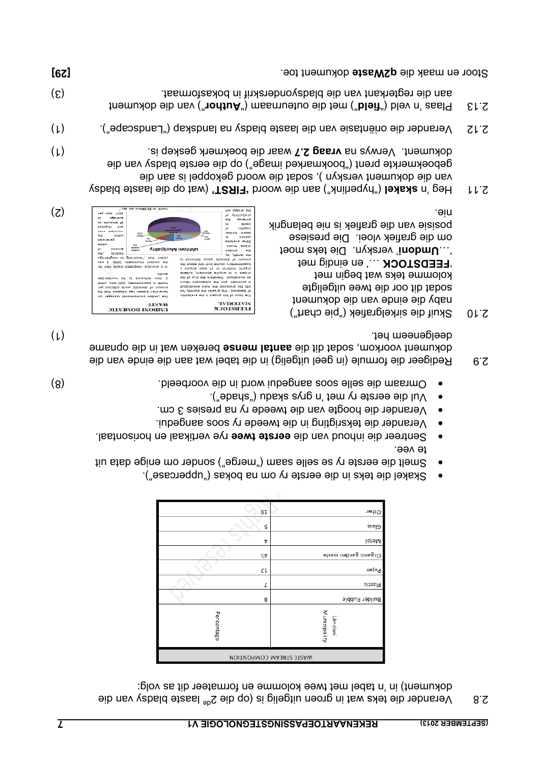2.8 Verander die teks wat in groen uitgelig is (op die 2 ed laaste bladsy van die low as tib netate as a met twee kolomme en formateer dit as volg:

| Other                           |  |  |  |
|---------------------------------|--|--|--|
| Glass                           |  |  |  |
| Metal                           |  |  |  |
| Organic garden waste            |  |  |  |
| Paper                           |  |  |  |
| plastic                         |  |  |  |
| <b>Builder Rubble</b>           |  |  |  |
| Municipality<br>Umdoni          |  |  |  |
| <b>UOITISORMOO MABATE BTEAW</b> |  |  |  |
|                                 |  |  |  |

- Skakel die teks in die eerste ry om na bokas ("uppercase"). •
- Smelt die eerste ry se selle saam ("merge") sonder om enige data uit te vee.
- rye vertikaal en horisontaal. **eerste twee** Sentreer die inhoud van die •
- Verander die teksrigting in die tweede ry soos aangedui. Verander die hoogte van die tweede ry na presies 3 cm. •
- Vul die eerste ry met 'n grys skadu ("shade"). •
- Omraam die selle soos allee soos allee voorbeeld. (8)
- 2.9 Beligeer die formule (in geel uitgelig) in die tabel wat aan die einde van die dokument voorkom, sodat dib it die aantal mense bereken wat in die opname deelgeneem het. (1)
- 2.10 Skuif die sirkelgrafiek ("pie chart") naby die einde van die dokument sodat dit oor die twee uitgeligte kolomme teks wat begin met …' en eindig met **FEEDSTOCK** ' ' verskyn. Die teks moet **Umdoni** '… om die grafiek vloei. Die presiese posisie van die grafiek is nie belangrik



(wat op die laaste bladsy **'FIRST'** ("hyperlink") aan die woord **skakel** 2.11 Heg 'n odat die dokument verskyn ), sodat die woord gekoppel is aan die geboekmerkte prent ("bookmarked image") op die eerste bladsy van die waar dokument. Verwys na vraag 2.7 waar die boekmerk geskep is. **2008** van de lig

- (1) laaste blands is eie blaaste bladsy na landskap ("Landscape"). (1)
- ") van die dokument **Author** ") met die outeurnaam (" **field** 2.13 Plaas 'n veld (" aan die regterkant van die bladsyonderskrif in bokasformaat. (3) aan die blads

Stoor en maak die **q2Waste** dokument toe. **die maak die stoor en maak die stoor en maak die stoor en maak die sta**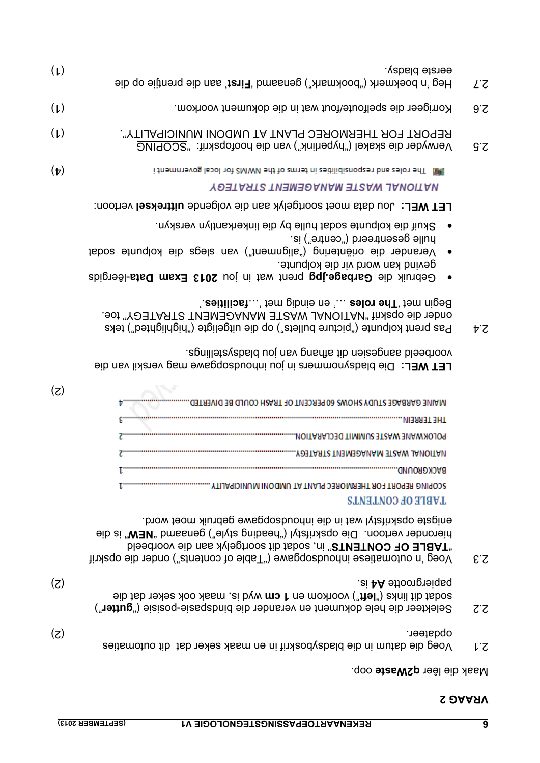| ε z | enigste opskrifstyl wat in die inhoudsopgawe gebruik moet word.<br>hieronder vertoon. Die opskrifstyl ("beading style") genaamd "NEW" is die<br>"TABLE OF CONTENTS" in, sodat dit soortgelyk aan die voorbeeld<br>Voeg 'n outomatiese inhoudsopgawe ("Table of contents") onder die opskrif |     |
|-----|---------------------------------------------------------------------------------------------------------------------------------------------------------------------------------------------------------------------------------------------------------------------------------------------|-----|
| ZZ  | (z)<br>ei AA ettootte A4 is.<br>sodat dit links ("left") voorkom en 1 cm wyd is, maak ook seker dat die<br>Selekteer die hele dokument en verander die bindspasie-posisie ("gutter")                                                                                                        |     |
| r.S | opqafeer.<br>Voeg die datum in die bladsyboskrif in en maak seker dat dib outomaties                                                                                                                                                                                                        | (5) |
|     | Maak die lêer <b>q2Waste</b> oop.                                                                                                                                                                                                                                                           |     |

**LABLE OF CONTENTS** 

| MAINE GARBAGE STUDY SHOWS 60 PERCENT OF TRASH COULD BE DIVERTED. |
|------------------------------------------------------------------|
| NIJANJI JHI                                                      |
| POLOKWANE WASTE SUMMIT DECLARATION.                              |
| .YOJIANI'U WASIL MANAGEMENI SIRAIFGY.                            |
| RACKGRUUND.                                                      |
| SCOPING REPORT FOR THERMOREC PLANT AT UMDONI MUNICIPALITY        |

 $(z)$ 

Die bladsynommers in jou inhoudsopgawe mag verskil van die **LET WEL:**  veorbeeld aangesien dit afhang van jon bladsystellings.

- $\mathsf{S}^+$   $\mathsf{P}^+$  pos budicted bullets ("ctruce primeted") teks prent telephases but the picture bullets of  $\mathsf{P}^+$ OUGET GIE OPSKIT "NAUL ON ALSTE MANAGEMENT STRATEGY" toe. Eegin met 'The roles ...' en eindig met '... facilities<sup>'</sup>
- -lêergids **2013 Exam Data** prent wat in jou **Garbage.jpg** Gebruik die gevind kan word vir die kolpunte.
- Verander die oriëntering ("alignment") van slegs die kolpunte sodat hulle gesentreerd ("centre") is.
- Skuif die kolpunte sodat hulle by die linkerkantlyn verskyn. •

**FEL MEF:** Yon data moet soortgelyk aan die volgende nittreksel vertoon:

| (L)      | eerste bladsy.<br>Heg 'n boekmerk ("bookmark") genaamd 'First' aan die prentjie op die                                 | ĽΖ  |
|----------|------------------------------------------------------------------------------------------------------------------------|-----|
| (L)      | Korrigeer die spelfoute/fout wat in die dokument voorkom.                                                              | 9.5 |
| (L)      | REPORT FOR THERMOREC PLANT AT UMDONI MUNICIPALITY".<br>Verwyder die skakel ("hyperlink") van die hoofopskrif: "SCOPING | ς ζ |
| $(\tau)$ | i tnemntevog labol tot 2MWM edt to zmtet ni zeitilidiznogzet bna zelot edT . 團眼<br>NATIONAL WASTE MANAGEMENT STRATEGY  |     |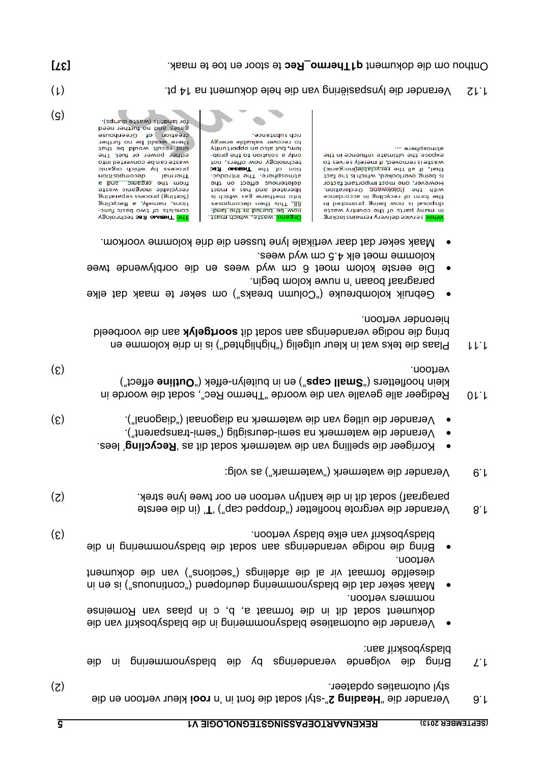| $\overline{\mathsf{S}}$     | <b>REKENAARTOEPASSINGSTEGNOLOGIE V1</b><br>(SEPTEMBER 2013)                                                                                                                   |                     |
|-----------------------------|-------------------------------------------------------------------------------------------------------------------------------------------------------------------------------|---------------------|
| (5)                         | styl outomaties opdateer.<br>Verander die "Heading 2"-styl sodat die font in 'n rooi kleur vertoon en die                                                                     | 9.1                 |
|                             | bladsyboskrif aan:<br>Bring die volgende veranderings by die bladsynommering<br>qie<br>u                                                                                      | $L^{\cdot}$         |
|                             | dokument sodat dit in die formaat a, d id on seal wan Romeinse<br>Verander die outomatiese bladsynommering in die bladsyboskrif van die                                       |                     |
|                             | dieselfde formaat vir al de afdelings ("sections") van die dokument<br>maak seker dat die bladsynommering deurlopend ("continuous") is en in<br>nommers vertoon.              |                     |
|                             | bladsyboskrif van elke bladsy vertoon.<br>Bring die nodige veranderings aan sodat die bladsynommering in die<br>vertoon.                                                      |                     |
| $\epsilon$                  | Verander die vergrote hoofletter ("dropped cap") 'T' (in die eerste                                                                                                           | 8.1                 |
| (5)                         | Verander die watermerk ("watermark") as volg:<br>paragraaf) sodat dit in die kantlyn vertoon en oor twee lyne strek.                                                          | 6.1                 |
|                             | Korrigeer die spelling van die watermerk sodat dit as 'Recycling' lees.<br>$\bullet$                                                                                          |                     |
| $\epsilon$                  | Verander die uitleg van die watermerk na diagonaal ("diagonal").<br>$\bullet$<br>Verander die watermerk na semi-denrsigtig ("semi-transparent").                              |                     |
| $\left( \mathcal{E}\right)$ | vertoon.<br>klein hoofletters ("sqso Ilsma") en in buitelyn-effek ("Outline effect")<br>Redigeer alle gevalle van die woorde "Thermo Rec", sodat die woorde in                | $0 \mid \cdot \mid$ |
|                             | hieronder vertoon.<br>bing die nodige veranderings aan sodat dit soortgelyk aan die voorbeeld<br>Plaas die teks wat in kleur uitgelig ("betrleinghted") is in drie kolomme en | ししし                 |
|                             | Gebruik kolombreuke ("Column breaks") om seker te maak dat elke<br>$\bullet$                                                                                                  |                     |
|                             | kolomme moet elk 4.5 cm wyd wees.<br>Die eerste kolom moet 6 cm wyd wees en die oorblywende twee<br>niged molox ewun n' nasod fasigrappin.                                    |                     |
|                             |                                                                                                                                                                               |                     |

- 
- Maak seker dat daar vertikale lyne tussen die drie kolomme voorkom. •

rich substance.

to recover valuable energy

dong eds to italians a vino

ton chology now offers, to

anosphere. The inno Rec<br>tion of the The introduc-

ai doidw asg enaddem otni<br>teom is ead bins betraight<br>either the conditionate

Sasodwooap uay siy 1

now be buried in the land.

Organic waste, which must.

for landfills (waste dumps). gases and no firesto<br>bean internet need<br>for language there would be no further end result would be that<br>ther power or fuel. The otri bethevnoo ed nao etzew Thermal by which organic<br>Thermal decomposition gniferseque associates (gnifries)<br>state integration electronic as<br>for the state of the state<br>state of the state of the state of the state<br>state of the state of the state of the state of the state<br>state of the state of the tions, namely, a Recycling consists of two basic func-**VSolondost on A OMREHT and** 

1.12 Verander die lynspasiëring van die hele dokument na 14 pt. (1)

\*\*\* aJaudsowie

edt ni eoneultri etemitlu edt ezoqxe

of zevies ylenem fi , bevornen zi efzew

is being overlooked, which is the fact<br>that, if all the recyclable(inorganic)

However, one most important factor the form of recycling in accordance<br>with the *Rolokwang* Declaration.

ni betomong gnied won zi lazoqzib

in many parts of the country waste

ynile service delivery remains lacking

Unthou om die dokument **q1Thermo\_Rec** te stoor en toe te maak. **Analyzie oor die dokument om die die dokument o** 

 $(q)$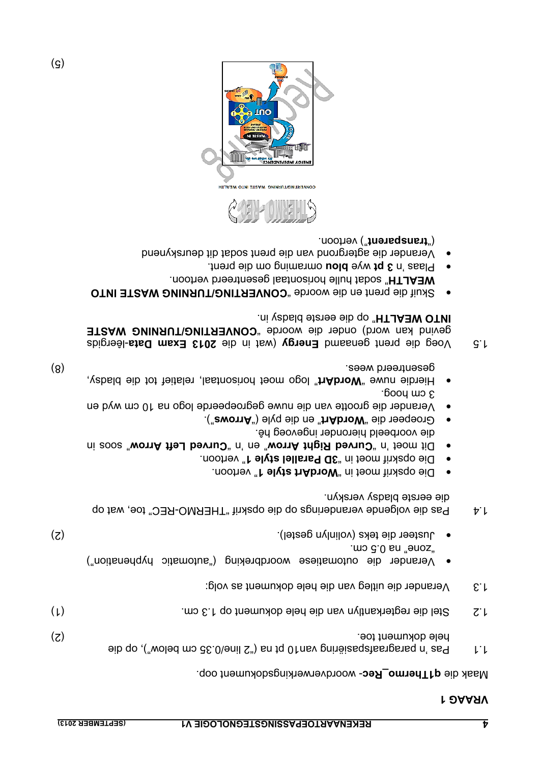#### Maak die **q1Thermo\_Rec**- woordverwerkingsdokument oop.

- alb qo ("woled mo de 0.36") isn tid 0.1 na grandaragraafspasiering na elementary tid in paragram op die (2) hele dokument toe.
- die hele die hele dokument op 1.3 cm.  $(1)$  1.3 cm.  $(2)$
- $1.3$  Verander die uitleg van die hele dokument as volg:
- Verander die outomatiese woordbreking ("automatic hyphenation") "zone" na 0.5 cm.
- (2) Justeer die teks (volinlyn gestel). •
- 1.4 Pas die volgende veranderings op die opskrif "THERMO-REC" toe, wat op die eerste bladsy verskyn.
- Pie opskrif moet in "**WordArt style " remort in 1988**.
- Die opskrif moet in "3D Parallel style 1" vertoon. Eit moet 'n soos " worned Right Arrow" en 'n Gurved Left Arrow" soos
- die voorbeeld hieronder ingevoeg hê.
- Groepeer die "brordArt" en die pyle ("arrows").
- Verander die grootte van die nuwe gegroepeerde logo na 10 cm wyd en  $\cdot$ booy wo $\epsilon$
- Hierdie nuwe "**WordArt**" logo moet horisontaal, relatief tot die bladsy, gesentreerd wees. (8)

1.5 Voeg die prent genaamd Energy (wat in die 2013 Exam Data-lêergids GONVERTING WASTE **EXAM ONING WASTE** " op die eerste bladsy in. **INTO WEALTH**

- **CONT EITS AN EXTIMING WASSED IN STATISTING WASSEE INTO** WEALTH" sodat hulle horisontaal gesentreerd vertoon.
- omraming om die prent. **blou** wye **3 pt** Plaas 'n •
- Verander die agtergrond van die prent sodat dit deurskynend ") vertoon. **transparent** ("



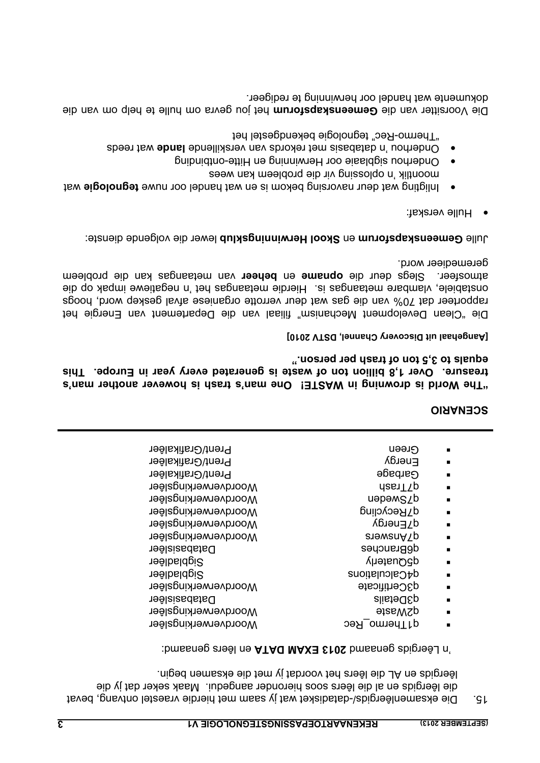15. Die eksamenlêergids/-dataisket wat jy saam met hierdie vraestel ontvang, bevat die lêergids en al die lêers soos hieronder aangedui. Maak seker dat jy die lêergids en AL die lêers het voordat jy met die eksamen begin.

'n Lêergids genaamd 2013 EXAM DATA en lêers genaamd:

| Prent/Grafikalêer    | Green               |  |
|----------------------|---------------------|--|
| Prent/Grafikalêer    | Energy              |  |
| Prent/Grafikalêer    | <b>Garbage</b>      |  |
| Woordverwerkingslêer | dasnTYp             |  |
| Woordverwerkingslêer | uəpəmszb            |  |
| Woordverwerkingslêer | d∑Recycling         |  |
| Woordverwerkingslêer | d∑Energy            |  |
| Woordverwerkingslêer | <b>and Analysis</b> |  |
| <b>Databasislêer</b> | dgguaucues          |  |
| Sigbladlêer          | doonaterly          |  |
| Sigbladlêer          | d4Calculations      |  |
| Woordverwerkingslêer | d3Certificate       |  |
| <b>Databasislêer</b> | glistedSp           |  |
| Woordverwerkingslêer | <b>a</b> teM2p      |  |
| Woordverwerkingslêer | g1Thermo_Rec        |  |
|                      |                     |  |

#### **SCENARIO**

**e man's trash is however another man's "The World is drowning in WASTE! On** treasure. Over 1,8 billion ton of waste is generated every year in Europe. This **equals to 3,5 ton of trash per person."** 

#### **[Aangehaal uit Discovery Channel, DSTV 2010]**

Die "Clean Development Mechanism" filiaal van die Departement van Energie het rapporteer dat 70% van die gas wat deur verrotte organiese afval geskep word, hoogs onstabiele, vlambare metaangas is. Hierdie metaangas het 'n segatiewe impak op die van metaangas kan die probleem **beheer** en **opname** atmosfeer. Slegs deur die geremedieer word.

lewer die volgende dienste: **Skool Herwinningsklub** en **Gemeenskapsforum** Julle

- Hulle verskaf: •
- Inligting wat deur navorsing bekom is en wat handel oor nuwe tegnologie wat moontlik 'n oplossing vir die probleem kan wees
- Onderhou sigblaaie oor Herwinning en Hitte-ontbinding •
- Onderhou 'n databasis met rekords van verskillende lande wat reeds "Thermo-Rec" tegnologie bekendgestel het

 het jou gevra om hulle te help om van die **Gemeenskapsforum** Die Voorsitter van die dokumente wat handel oor herwinning te redigeer.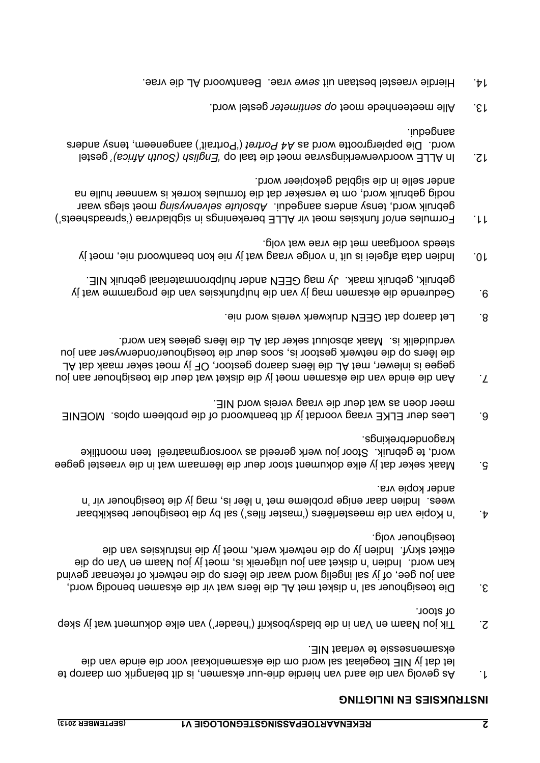#### **INSTRUKSIES EN INLIGTING**

- $\frac{1}{2}$  expanding that is distributed that belangrik om daard  $\frac{1}{2}$  and depending vanishing  $\frac{1}{2}$  and  $\frac{1}{2}$  and  $\frac{1}{2}$  and  $\frac{1}{2}$  and  $\frac{1}{2}$  and  $\frac{1}{2}$  and  $\frac{1}{2}$  and  $\frac{1}{2}$  and  $\frac{1}{2}$  a let dat jy NIE toegelaat sal word om die eksamenlokaal voor die einde van die eksamensessie te verlaat NIE.
- $S$ . Tik jou Naam en Van in die bladsyboskrif ('header') van elke dokument wat jy skep of stoor.
- 3. Die toesighouer sal 'n disket met AL die lêers wat vir die eksamen benodig word, aan jou gee, of jy sal ingelig word waar die lêers op die netwerk of rekenaar gevind kan word. Indien 'n disket aan jou uitgereik is, moet ijy jou Naam en Van op die etiket skryf. Indien jy op die netwerk werk, moet jy die instruksies van die toesighouer volg.
- 4. Tiles by die toesighouer beskikbaar ('master files') sal by die toesighouer beskikbaar wees. Indien daar enige probleme met 'n lêer is, mag jy die toesighouer vir 'n ander kopie vra.
- 5. Maak seker dat jy elke dokument stoor deur die lêernaam wat in die vraestel gegee word, te gebruik. Stoor jou werk gereeld as voorsorgmaatreël teen moontlike kragonderbrekings.
- 6. Lees deur ELKE vraag voordat jy dit beantwoord of die probleem oplos. MOENIE meer doen as wat deur die vraag vereis word NIE.
- F disket wat die einde van die eksamen moet jy die daket wat deur die toesighouer aan jou gegee is inlewer, met AL die lêers daarop gestoor, OF jy moet seker maak dat AL die lêers op die netwerk gestoor is, soos deur die toesighouer/onderwyser aan jou rerduidelik is. Maak absoluut seker dat AL die lêers gelees kan word.
- 8. Let daarop dat GEEN drukwerk vereis word nie.
- 9. Gedurende die eksamen mag jy van die hulpfunksies van die programme wat jy gebruik, gebruik maak. Jy mag GEEN ander hulpbronmateriaal gebruik NIE.
- 10. Indien data afgelei is uit 'n vorige vraag wat jy nie kon beantwoord nie, moet jy steeds voortgaan met die vrae wat volg.
- 11. Formules en/of funksies moet vir ALLE berekenings in sigbladvrae ('spreadsheets') gebruik word, tensy anders aangedui. Absolute selverwysing moet slegs waar nodig gebruik word, om te verseker dat die formules korrek is wanneer hulle na ander selle in die sigblad gekopieer word.
- gestel *'English Africa) Azilgna*' qo last eib teom eravagnixhewevbroow all Africa)' gestel word. Die papiergrootte word as A4 Portrait') aangeneem, tensy anders aangedui.
- 13. **Alle meeteenhede moet op sentimeter gestel word.**
- vraphe vraestel bestaan uit sewe vrae. Beantwoord AL die vrae.